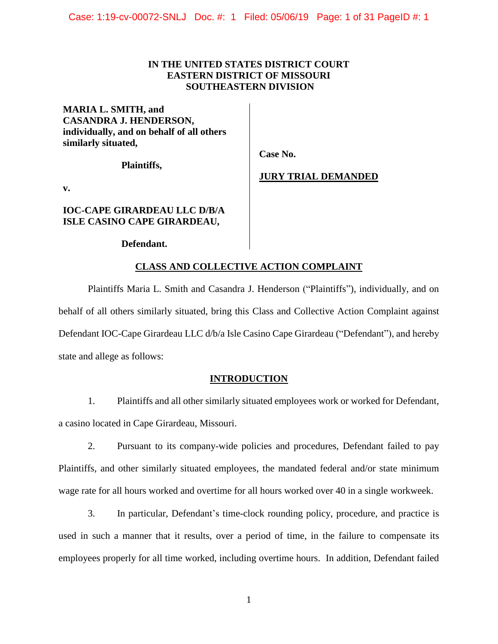# **IN THE UNITED STATES DISTRICT COURT EASTERN DISTRICT OF MISSOURI SOUTHEASTERN DIVISION**

**MARIA L. SMITH, and CASANDRA J. HENDERSON, individually, and on behalf of all others similarly situated,** 

**Plaintiffs,** 

 **Case No.** 

 **JURY TRIAL DEMANDED**

**v.** 

# **IOC-CAPE GIRARDEAU LLC D/B/A ISLE CASINO CAPE GIRARDEAU,**

## **Defendant.**

# **CLASS AND COLLECTIVE ACTION COMPLAINT**

Plaintiffs Maria L. Smith and Casandra J. Henderson ("Plaintiffs"), individually, and on behalf of all others similarly situated, bring this Class and Collective Action Complaint against Defendant IOC-Cape Girardeau LLC d/b/a Isle Casino Cape Girardeau ("Defendant"), and hereby state and allege as follows:

# **INTRODUCTION**

1. Plaintiffs and all other similarly situated employees work or worked for Defendant, a casino located in Cape Girardeau, Missouri.

2. Pursuant to its company-wide policies and procedures, Defendant failed to pay Plaintiffs, and other similarly situated employees, the mandated federal and/or state minimum wage rate for all hours worked and overtime for all hours worked over 40 in a single workweek.

3. In particular, Defendant's time-clock rounding policy, procedure, and practice is used in such a manner that it results, over a period of time, in the failure to compensate its employees properly for all time worked, including overtime hours. In addition, Defendant failed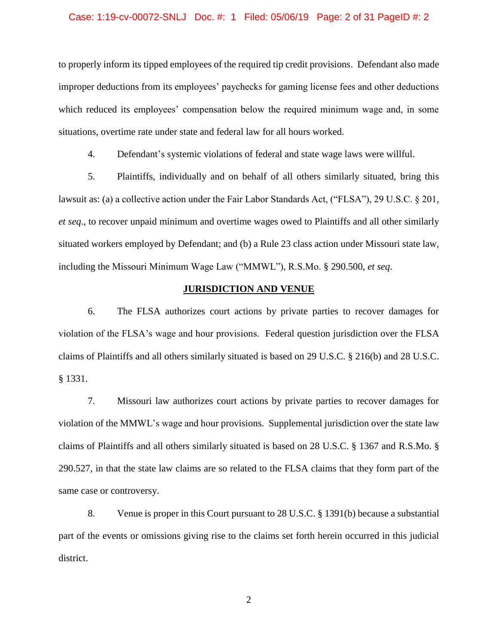### Case: 1:19-cv-00072-SNLJ Doc. #: 1 Filed: 05/06/19 Page: 2 of 31 PageID #: 2

to properly inform its tipped employees of the required tip credit provisions. Defendant also made improper deductions from its employees' paychecks for gaming license fees and other deductions which reduced its employees' compensation below the required minimum wage and, in some situations, overtime rate under state and federal law for all hours worked.

4. Defendant's systemic violations of federal and state wage laws were willful.

5. Plaintiffs, individually and on behalf of all others similarly situated, bring this lawsuit as: (a) a collective action under the Fair Labor Standards Act, ("FLSA"), 29 U.S.C. § 201, *et seq*., to recover unpaid minimum and overtime wages owed to Plaintiffs and all other similarly situated workers employed by Defendant; and (b) a Rule 23 class action under Missouri state law, including the Missouri Minimum Wage Law ("MMWL"), R.S.Mo. § 290.500, *et seq*.

## **JURISDICTION AND VENUE**

6. The FLSA authorizes court actions by private parties to recover damages for violation of the FLSA's wage and hour provisions. Federal question jurisdiction over the FLSA claims of Plaintiffs and all others similarly situated is based on 29 U.S.C. § 216(b) and 28 U.S.C. § 1331.

7. Missouri law authorizes court actions by private parties to recover damages for violation of the MMWL's wage and hour provisions. Supplemental jurisdiction over the state law claims of Plaintiffs and all others similarly situated is based on 28 U.S.C. § 1367 and R.S.Mo. § 290.527, in that the state law claims are so related to the FLSA claims that they form part of the same case or controversy.

8. Venue is proper in this Court pursuant to 28 U.S.C. § 1391(b) because a substantial part of the events or omissions giving rise to the claims set forth herein occurred in this judicial district.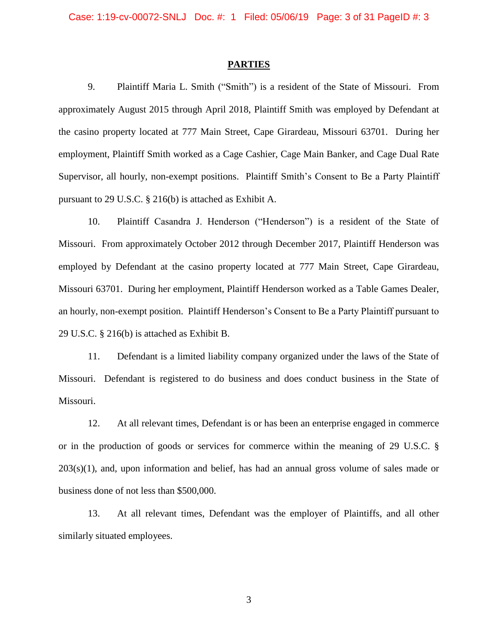#### **PARTIES**

9. Plaintiff Maria L. Smith ("Smith") is a resident of the State of Missouri. From approximately August 2015 through April 2018, Plaintiff Smith was employed by Defendant at the casino property located at 777 Main Street, Cape Girardeau, Missouri 63701. During her employment, Plaintiff Smith worked as a Cage Cashier, Cage Main Banker, and Cage Dual Rate Supervisor, all hourly, non-exempt positions. Plaintiff Smith's Consent to Be a Party Plaintiff pursuant to 29 U.S.C. § 216(b) is attached as Exhibit A.

10. Plaintiff Casandra J. Henderson ("Henderson") is a resident of the State of Missouri. From approximately October 2012 through December 2017, Plaintiff Henderson was employed by Defendant at the casino property located at 777 Main Street, Cape Girardeau, Missouri 63701. During her employment, Plaintiff Henderson worked as a Table Games Dealer, an hourly, non-exempt position. Plaintiff Henderson's Consent to Be a Party Plaintiff pursuant to 29 U.S.C. § 216(b) is attached as Exhibit B.

11. Defendant is a limited liability company organized under the laws of the State of Missouri. Defendant is registered to do business and does conduct business in the State of Missouri.

12. At all relevant times, Defendant is or has been an enterprise engaged in commerce or in the production of goods or services for commerce within the meaning of 29 U.S.C. §  $203(s)(1)$ , and, upon information and belief, has had an annual gross volume of sales made or business done of not less than \$500,000.

13. At all relevant times, Defendant was the employer of Plaintiffs, and all other similarly situated employees.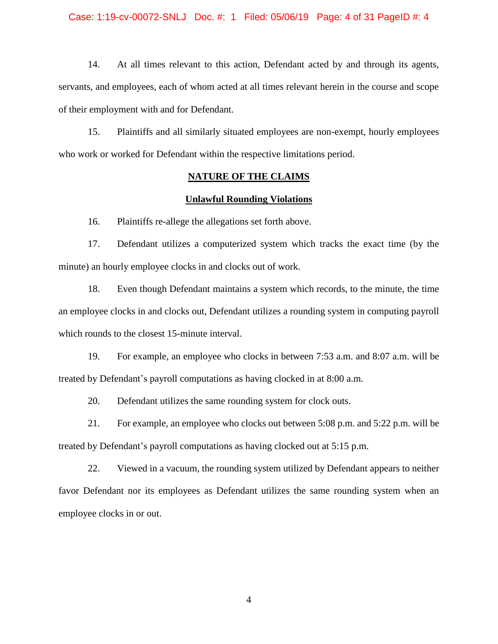### Case: 1:19-cv-00072-SNLJ Doc. #: 1 Filed: 05/06/19 Page: 4 of 31 PageID #: 4

14. At all times relevant to this action, Defendant acted by and through its agents, servants, and employees, each of whom acted at all times relevant herein in the course and scope of their employment with and for Defendant.

15. Plaintiffs and all similarly situated employees are non-exempt, hourly employees who work or worked for Defendant within the respective limitations period.

# **NATURE OF THE CLAIMS**

### **Unlawful Rounding Violations**

16. Plaintiffs re-allege the allegations set forth above.

17. Defendant utilizes a computerized system which tracks the exact time (by the minute) an hourly employee clocks in and clocks out of work.

18. Even though Defendant maintains a system which records, to the minute, the time an employee clocks in and clocks out, Defendant utilizes a rounding system in computing payroll which rounds to the closest 15-minute interval.

19. For example, an employee who clocks in between 7:53 a.m. and 8:07 a.m. will be treated by Defendant's payroll computations as having clocked in at 8:00 a.m.

20. Defendant utilizes the same rounding system for clock outs.

21. For example, an employee who clocks out between 5:08 p.m. and 5:22 p.m. will be treated by Defendant's payroll computations as having clocked out at 5:15 p.m.

22. Viewed in a vacuum, the rounding system utilized by Defendant appears to neither favor Defendant nor its employees as Defendant utilizes the same rounding system when an employee clocks in or out.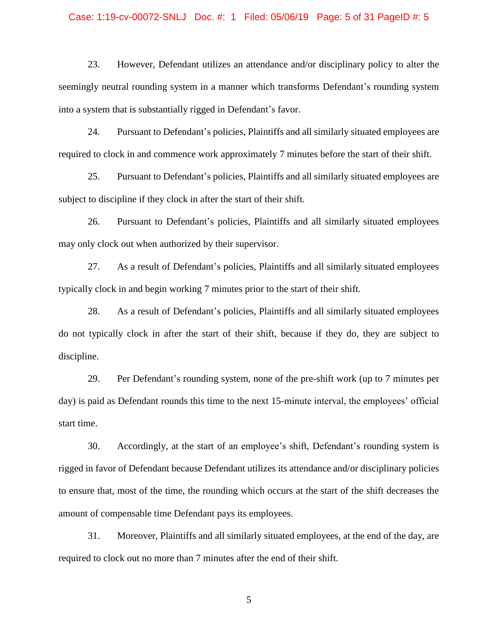### Case: 1:19-cv-00072-SNLJ Doc. #: 1 Filed: 05/06/19 Page: 5 of 31 PageID #: 5

23. However, Defendant utilizes an attendance and/or disciplinary policy to alter the seemingly neutral rounding system in a manner which transforms Defendant's rounding system into a system that is substantially rigged in Defendant's favor.

24. Pursuant to Defendant's policies, Plaintiffs and all similarly situated employees are required to clock in and commence work approximately 7 minutes before the start of their shift.

25. Pursuant to Defendant's policies, Plaintiffs and all similarly situated employees are subject to discipline if they clock in after the start of their shift.

26. Pursuant to Defendant's policies, Plaintiffs and all similarly situated employees may only clock out when authorized by their supervisor.

27. As a result of Defendant's policies, Plaintiffs and all similarly situated employees typically clock in and begin working 7 minutes prior to the start of their shift.

28. As a result of Defendant's policies, Plaintiffs and all similarly situated employees do not typically clock in after the start of their shift, because if they do, they are subject to discipline.

29. Per Defendant's rounding system, none of the pre-shift work (up to 7 minutes per day) is paid as Defendant rounds this time to the next 15-minute interval, the employees' official start time.

30. Accordingly, at the start of an employee's shift, Defendant's rounding system is rigged in favor of Defendant because Defendant utilizes its attendance and/or disciplinary policies to ensure that, most of the time, the rounding which occurs at the start of the shift decreases the amount of compensable time Defendant pays its employees.

31. Moreover, Plaintiffs and all similarly situated employees, at the end of the day, are required to clock out no more than 7 minutes after the end of their shift.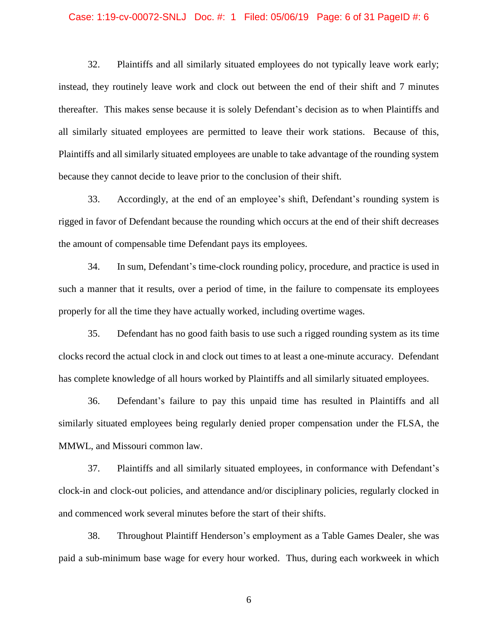### Case: 1:19-cv-00072-SNLJ Doc. #: 1 Filed: 05/06/19 Page: 6 of 31 PageID #: 6

32. Plaintiffs and all similarly situated employees do not typically leave work early; instead, they routinely leave work and clock out between the end of their shift and 7 minutes thereafter. This makes sense because it is solely Defendant's decision as to when Plaintiffs and all similarly situated employees are permitted to leave their work stations. Because of this, Plaintiffs and all similarly situated employees are unable to take advantage of the rounding system because they cannot decide to leave prior to the conclusion of their shift.

33. Accordingly, at the end of an employee's shift, Defendant's rounding system is rigged in favor of Defendant because the rounding which occurs at the end of their shift decreases the amount of compensable time Defendant pays its employees.

34. In sum, Defendant's time-clock rounding policy, procedure, and practice is used in such a manner that it results, over a period of time, in the failure to compensate its employees properly for all the time they have actually worked, including overtime wages.

35. Defendant has no good faith basis to use such a rigged rounding system as its time clocks record the actual clock in and clock out times to at least a one-minute accuracy. Defendant has complete knowledge of all hours worked by Plaintiffs and all similarly situated employees.

36. Defendant's failure to pay this unpaid time has resulted in Plaintiffs and all similarly situated employees being regularly denied proper compensation under the FLSA, the MMWL, and Missouri common law.

37. Plaintiffs and all similarly situated employees, in conformance with Defendant's clock-in and clock-out policies, and attendance and/or disciplinary policies, regularly clocked in and commenced work several minutes before the start of their shifts.

38. Throughout Plaintiff Henderson's employment as a Table Games Dealer, she was paid a sub-minimum base wage for every hour worked. Thus, during each workweek in which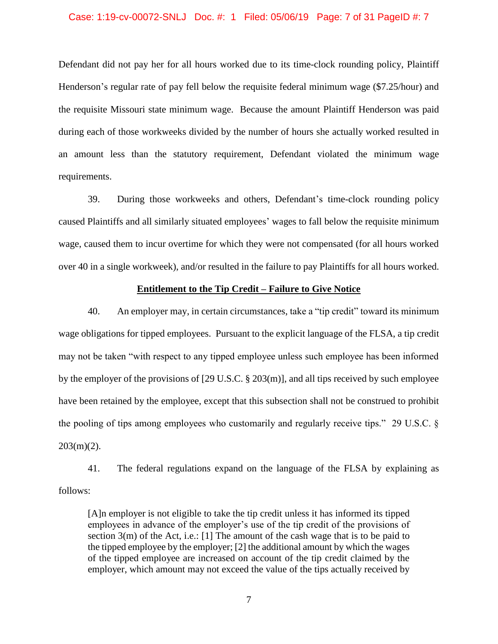### Case: 1:19-cv-00072-SNLJ Doc. #: 1 Filed: 05/06/19 Page: 7 of 31 PageID #: 7

Defendant did not pay her for all hours worked due to its time-clock rounding policy, Plaintiff Henderson's regular rate of pay fell below the requisite federal minimum wage (\$7.25/hour) and the requisite Missouri state minimum wage. Because the amount Plaintiff Henderson was paid during each of those workweeks divided by the number of hours she actually worked resulted in an amount less than the statutory requirement, Defendant violated the minimum wage requirements.

39. During those workweeks and others, Defendant's time-clock rounding policy caused Plaintiffs and all similarly situated employees' wages to fall below the requisite minimum wage, caused them to incur overtime for which they were not compensated (for all hours worked over 40 in a single workweek), and/or resulted in the failure to pay Plaintiffs for all hours worked.

### **Entitlement to the Tip Credit – Failure to Give Notice**

40. An employer may, in certain circumstances, take a "tip credit" toward its minimum wage obligations for tipped employees. Pursuant to the explicit language of the FLSA, a tip credit may not be taken "with respect to any tipped employee unless such employee has been informed by the employer of the provisions of [29 U.S.C. § 203(m)], and all tips received by such employee have been retained by the employee, except that this subsection shall not be construed to prohibit the pooling of tips among employees who customarily and regularly receive tips." 29 U.S.C. §  $203(m)(2)$ .

41. The federal regulations expand on the language of the FLSA by explaining as follows:

[A]n employer is not eligible to take the tip credit unless it has informed its tipped employees in advance of the employer's use of the tip credit of the provisions of section  $3(m)$  of the Act, i.e.: [1] The amount of the cash wage that is to be paid to the tipped employee by the employer; [2] the additional amount by which the wages of the tipped employee are increased on account of the tip credit claimed by the employer, which amount may not exceed the value of the tips actually received by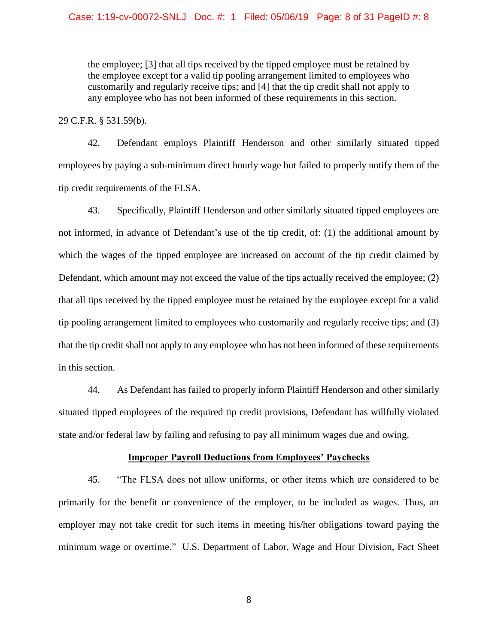the employee; [3] that all tips received by the tipped employee must be retained by the employee except for a valid tip pooling arrangement limited to employees who customarily and regularly receive tips; and [4] that the tip credit shall not apply to any employee who has not been informed of these requirements in this section.

29 C.F.R. § 531.59(b).

42. Defendant employs Plaintiff Henderson and other similarly situated tipped employees by paying a sub-minimum direct hourly wage but failed to properly notify them of the tip credit requirements of the FLSA.

43. Specifically, Plaintiff Henderson and other similarly situated tipped employees are not informed, in advance of Defendant's use of the tip credit, of: (1) the additional amount by which the wages of the tipped employee are increased on account of the tip credit claimed by Defendant, which amount may not exceed the value of the tips actually received the employee; (2) that all tips received by the tipped employee must be retained by the employee except for a valid tip pooling arrangement limited to employees who customarily and regularly receive tips; and (3) that the tip credit shall not apply to any employee who has not been informed of these requirements in this section.

44. As Defendant has failed to properly inform Plaintiff Henderson and other similarly situated tipped employees of the required tip credit provisions, Defendant has willfully violated state and/or federal law by failing and refusing to pay all minimum wages due and owing.

### **Improper Payroll Deductions from Employees' Paychecks**

45. "The FLSA does not allow uniforms, or other items which are considered to be primarily for the benefit or convenience of the employer, to be included as wages. Thus, an employer may not take credit for such items in meeting his/her obligations toward paying the minimum wage or overtime." U.S. Department of Labor, Wage and Hour Division, Fact Sheet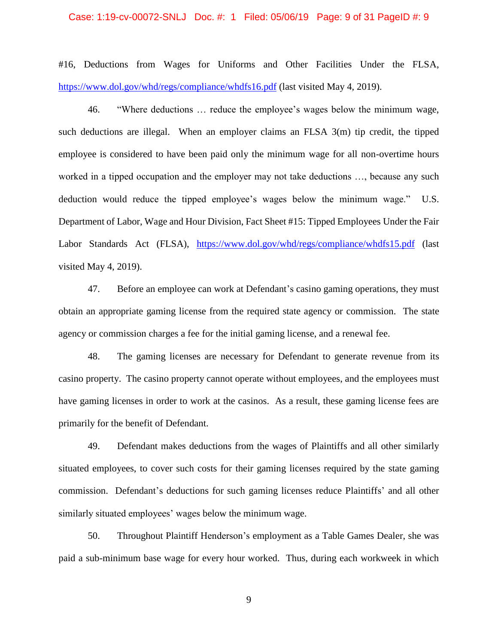### Case: 1:19-cv-00072-SNLJ Doc. #: 1 Filed: 05/06/19 Page: 9 of 31 PageID #: 9

#16, Deductions from Wages for Uniforms and Other Facilities Under the FLSA, <https://www.dol.gov/whd/regs/compliance/whdfs16.pdf> (last visited May 4, 2019).

46. "Where deductions … reduce the employee's wages below the minimum wage, such deductions are illegal. When an employer claims an FLSA 3(m) tip credit, the tipped employee is considered to have been paid only the minimum wage for all non-overtime hours worked in a tipped occupation and the employer may not take deductions …, because any such deduction would reduce the tipped employee's wages below the minimum wage." U.S. Department of Labor, Wage and Hour Division, Fact Sheet #15: Tipped Employees Under the Fair Labor Standards Act (FLSA), <https://www.dol.gov/whd/regs/compliance/whdfs15.pdf> (last visited May 4, 2019).

47. Before an employee can work at Defendant's casino gaming operations, they must obtain an appropriate gaming license from the required state agency or commission. The state agency or commission charges a fee for the initial gaming license, and a renewal fee.

48. The gaming licenses are necessary for Defendant to generate revenue from its casino property. The casino property cannot operate without employees, and the employees must have gaming licenses in order to work at the casinos. As a result, these gaming license fees are primarily for the benefit of Defendant.

49. Defendant makes deductions from the wages of Plaintiffs and all other similarly situated employees, to cover such costs for their gaming licenses required by the state gaming commission. Defendant's deductions for such gaming licenses reduce Plaintiffs' and all other similarly situated employees' wages below the minimum wage.

50. Throughout Plaintiff Henderson's employment as a Table Games Dealer, she was paid a sub-minimum base wage for every hour worked. Thus, during each workweek in which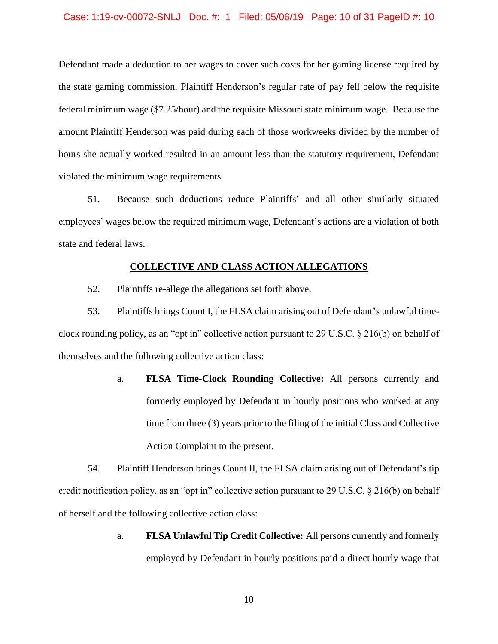Defendant made a deduction to her wages to cover such costs for her gaming license required by the state gaming commission, Plaintiff Henderson's regular rate of pay fell below the requisite federal minimum wage (\$7.25/hour) and the requisite Missouri state minimum wage. Because the amount Plaintiff Henderson was paid during each of those workweeks divided by the number of hours she actually worked resulted in an amount less than the statutory requirement, Defendant violated the minimum wage requirements.

51. Because such deductions reduce Plaintiffs' and all other similarly situated employees' wages below the required minimum wage, Defendant's actions are a violation of both state and federal laws.

### **COLLECTIVE AND CLASS ACTION ALLEGATIONS**

52. Plaintiffs re-allege the allegations set forth above.

53. Plaintiffs brings Count I, the FLSA claim arising out of Defendant's unlawful timeclock rounding policy, as an "opt in" collective action pursuant to 29 U.S.C. § 216(b) on behalf of themselves and the following collective action class:

> a. **FLSA Time-Clock Rounding Collective:** All persons currently and formerly employed by Defendant in hourly positions who worked at any time from three (3) years prior to the filing of the initial Class and Collective Action Complaint to the present.

54. Plaintiff Henderson brings Count II, the FLSA claim arising out of Defendant's tip credit notification policy, as an "opt in" collective action pursuant to 29 U.S.C. § 216(b) on behalf of herself and the following collective action class:

> a. **FLSA Unlawful Tip Credit Collective:** All persons currently and formerly employed by Defendant in hourly positions paid a direct hourly wage that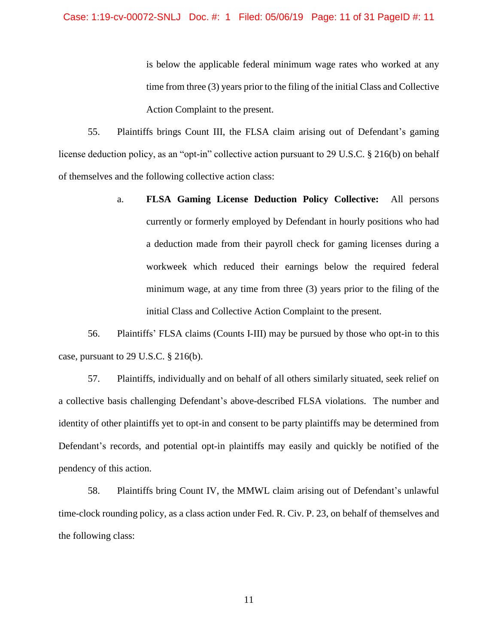### Case: 1:19-cv-00072-SNLJ Doc. #: 1 Filed: 05/06/19 Page: 11 of 31 PageID #: 11

is below the applicable federal minimum wage rates who worked at any time from three (3) years prior to the filing of the initial Class and Collective Action Complaint to the present.

55. Plaintiffs brings Count III, the FLSA claim arising out of Defendant's gaming license deduction policy, as an "opt-in" collective action pursuant to 29 U.S.C. § 216(b) on behalf of themselves and the following collective action class:

> a. **FLSA Gaming License Deduction Policy Collective:** All persons currently or formerly employed by Defendant in hourly positions who had a deduction made from their payroll check for gaming licenses during a workweek which reduced their earnings below the required federal minimum wage, at any time from three (3) years prior to the filing of the initial Class and Collective Action Complaint to the present.

56. Plaintiffs' FLSA claims (Counts I-III) may be pursued by those who opt-in to this case, pursuant to 29 U.S.C. § 216(b).

57. Plaintiffs, individually and on behalf of all others similarly situated, seek relief on a collective basis challenging Defendant's above-described FLSA violations. The number and identity of other plaintiffs yet to opt-in and consent to be party plaintiffs may be determined from Defendant's records, and potential opt-in plaintiffs may easily and quickly be notified of the pendency of this action.

58. Plaintiffs bring Count IV, the MMWL claim arising out of Defendant's unlawful time-clock rounding policy, as a class action under Fed. R. Civ. P. 23, on behalf of themselves and the following class: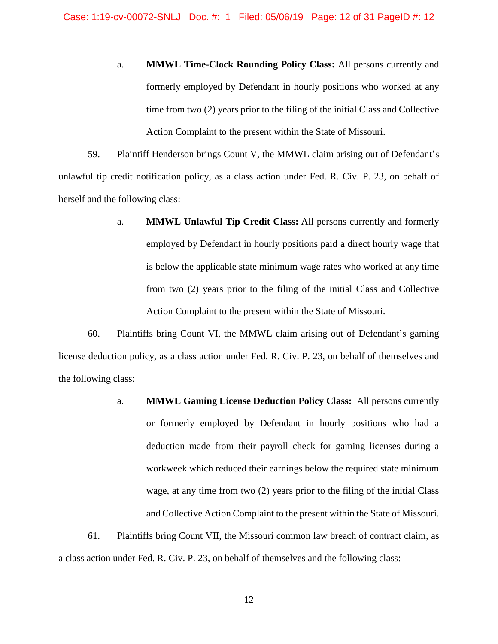a. **MMWL Time-Clock Rounding Policy Class:** All persons currently and formerly employed by Defendant in hourly positions who worked at any time from two (2) years prior to the filing of the initial Class and Collective Action Complaint to the present within the State of Missouri.

59. Plaintiff Henderson brings Count V, the MMWL claim arising out of Defendant's unlawful tip credit notification policy, as a class action under Fed. R. Civ. P. 23, on behalf of herself and the following class:

> a. **MMWL Unlawful Tip Credit Class:** All persons currently and formerly employed by Defendant in hourly positions paid a direct hourly wage that is below the applicable state minimum wage rates who worked at any time from two (2) years prior to the filing of the initial Class and Collective Action Complaint to the present within the State of Missouri.

60. Plaintiffs bring Count VI, the MMWL claim arising out of Defendant's gaming license deduction policy, as a class action under Fed. R. Civ. P. 23, on behalf of themselves and the following class:

> a. **MMWL Gaming License Deduction Policy Class:** All persons currently or formerly employed by Defendant in hourly positions who had a deduction made from their payroll check for gaming licenses during a workweek which reduced their earnings below the required state minimum wage, at any time from two (2) years prior to the filing of the initial Class and Collective Action Complaint to the present within the State of Missouri.

61. Plaintiffs bring Count VII, the Missouri common law breach of contract claim, as a class action under Fed. R. Civ. P. 23, on behalf of themselves and the following class: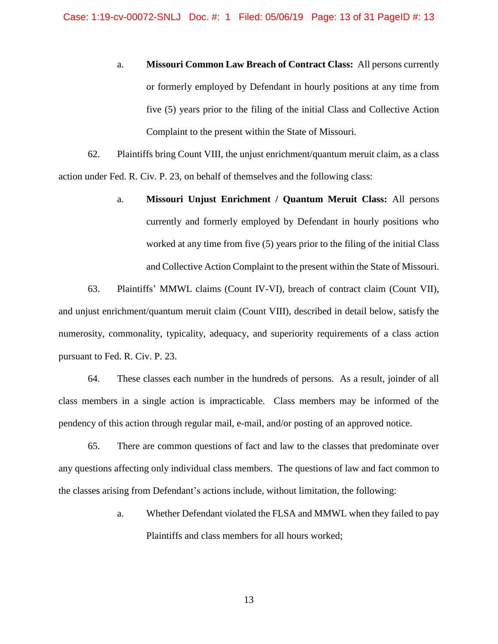a. **Missouri Common Law Breach of Contract Class:** All persons currently or formerly employed by Defendant in hourly positions at any time from five (5) years prior to the filing of the initial Class and Collective Action Complaint to the present within the State of Missouri.

62. Plaintiffs bring Count VIII, the unjust enrichment/quantum meruit claim, as a class action under Fed. R. Civ. P. 23, on behalf of themselves and the following class:

> a. **Missouri Unjust Enrichment / Quantum Meruit Class:** All persons currently and formerly employed by Defendant in hourly positions who worked at any time from five (5) years prior to the filing of the initial Class and Collective Action Complaint to the present within the State of Missouri.

63. Plaintiffs' MMWL claims (Count IV-VI), breach of contract claim (Count VII), and unjust enrichment/quantum meruit claim (Count VIII), described in detail below, satisfy the numerosity, commonality, typicality, adequacy, and superiority requirements of a class action pursuant to Fed. R. Civ. P. 23.

64. These classes each number in the hundreds of persons. As a result, joinder of all class members in a single action is impracticable. Class members may be informed of the pendency of this action through regular mail, e-mail, and/or posting of an approved notice.

65. There are common questions of fact and law to the classes that predominate over any questions affecting only individual class members. The questions of law and fact common to the classes arising from Defendant's actions include, without limitation, the following:

> a. Whether Defendant violated the FLSA and MMWL when they failed to pay Plaintiffs and class members for all hours worked;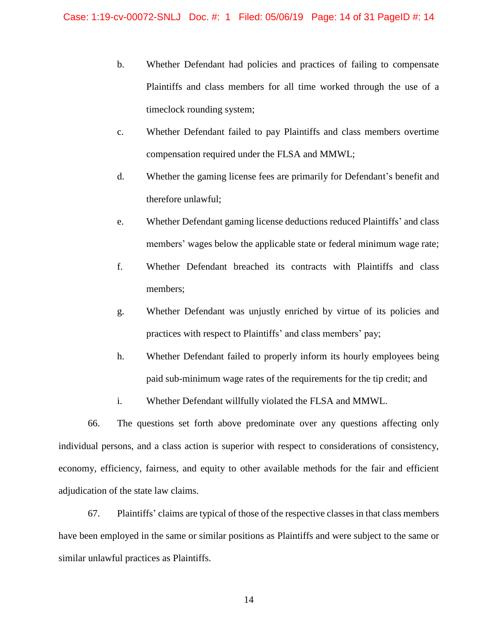- b. Whether Defendant had policies and practices of failing to compensate Plaintiffs and class members for all time worked through the use of a timeclock rounding system;
- c. Whether Defendant failed to pay Plaintiffs and class members overtime compensation required under the FLSA and MMWL;
- d. Whether the gaming license fees are primarily for Defendant's benefit and therefore unlawful;
- e. Whether Defendant gaming license deductions reduced Plaintiffs' and class members' wages below the applicable state or federal minimum wage rate;
- f. Whether Defendant breached its contracts with Plaintiffs and class members;
- g. Whether Defendant was unjustly enriched by virtue of its policies and practices with respect to Plaintiffs' and class members' pay;
- h. Whether Defendant failed to properly inform its hourly employees being paid sub-minimum wage rates of the requirements for the tip credit; and
- i. Whether Defendant willfully violated the FLSA and MMWL.

66. The questions set forth above predominate over any questions affecting only individual persons, and a class action is superior with respect to considerations of consistency, economy, efficiency, fairness, and equity to other available methods for the fair and efficient adjudication of the state law claims.

67. Plaintiffs' claims are typical of those of the respective classes in that class members have been employed in the same or similar positions as Plaintiffs and were subject to the same or similar unlawful practices as Plaintiffs.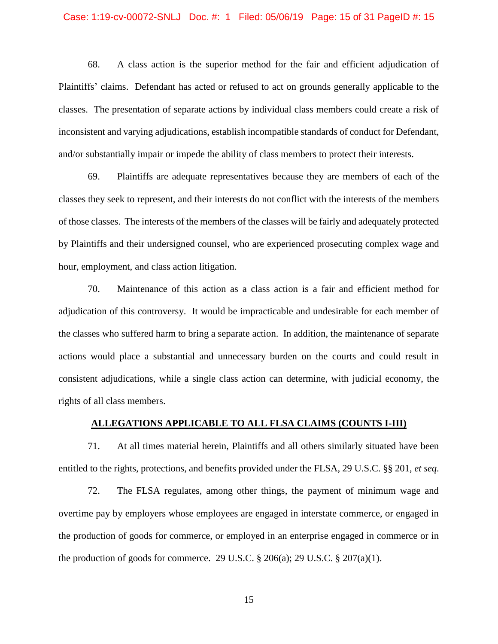#### Case: 1:19-cv-00072-SNLJ Doc. #: 1 Filed: 05/06/19 Page: 15 of 31 PageID #: 15

68. A class action is the superior method for the fair and efficient adjudication of Plaintiffs' claims. Defendant has acted or refused to act on grounds generally applicable to the classes. The presentation of separate actions by individual class members could create a risk of inconsistent and varying adjudications, establish incompatible standards of conduct for Defendant, and/or substantially impair or impede the ability of class members to protect their interests.

69. Plaintiffs are adequate representatives because they are members of each of the classes they seek to represent, and their interests do not conflict with the interests of the members of those classes. The interests of the members of the classes will be fairly and adequately protected by Plaintiffs and their undersigned counsel, who are experienced prosecuting complex wage and hour, employment, and class action litigation.

70. Maintenance of this action as a class action is a fair and efficient method for adjudication of this controversy. It would be impracticable and undesirable for each member of the classes who suffered harm to bring a separate action. In addition, the maintenance of separate actions would place a substantial and unnecessary burden on the courts and could result in consistent adjudications, while a single class action can determine, with judicial economy, the rights of all class members.

### **ALLEGATIONS APPLICABLE TO ALL FLSA CLAIMS (COUNTS I-III)**

71. At all times material herein, Plaintiffs and all others similarly situated have been entitled to the rights, protections, and benefits provided under the FLSA, 29 U.S.C. §§ 201, *et seq*.

72. The FLSA regulates, among other things, the payment of minimum wage and overtime pay by employers whose employees are engaged in interstate commerce, or engaged in the production of goods for commerce, or employed in an enterprise engaged in commerce or in the production of goods for commerce. 29 U.S.C.  $\S 206(a)$ ; 29 U.S.C.  $\S 207(a)(1)$ .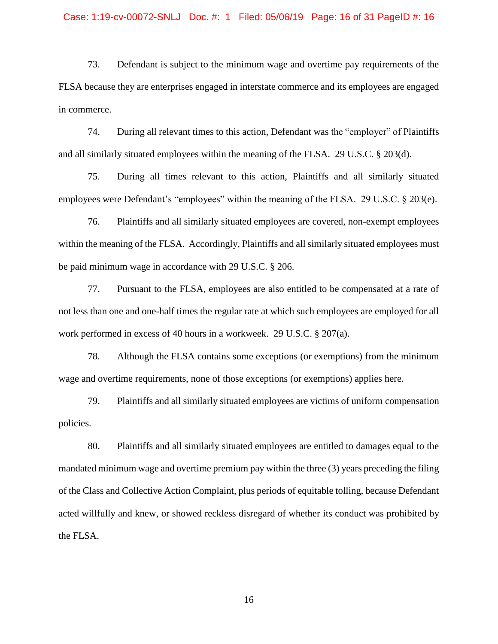73. Defendant is subject to the minimum wage and overtime pay requirements of the FLSA because they are enterprises engaged in interstate commerce and its employees are engaged in commerce.

74. During all relevant times to this action, Defendant was the "employer" of Plaintiffs and all similarly situated employees within the meaning of the FLSA. 29 U.S.C. § 203(d).

75. During all times relevant to this action, Plaintiffs and all similarly situated employees were Defendant's "employees" within the meaning of the FLSA. 29 U.S.C. § 203(e).

76. Plaintiffs and all similarly situated employees are covered, non-exempt employees within the meaning of the FLSA. Accordingly, Plaintiffs and all similarly situated employees must be paid minimum wage in accordance with 29 U.S.C. § 206.

77. Pursuant to the FLSA, employees are also entitled to be compensated at a rate of not less than one and one-half times the regular rate at which such employees are employed for all work performed in excess of 40 hours in a workweek. 29 U.S.C. § 207(a).

78. Although the FLSA contains some exceptions (or exemptions) from the minimum wage and overtime requirements, none of those exceptions (or exemptions) applies here.

79. Plaintiffs and all similarly situated employees are victims of uniform compensation policies.

80. Plaintiffs and all similarly situated employees are entitled to damages equal to the mandated minimum wage and overtime premium pay within the three (3) years preceding the filing of the Class and Collective Action Complaint, plus periods of equitable tolling, because Defendant acted willfully and knew, or showed reckless disregard of whether its conduct was prohibited by the FLSA.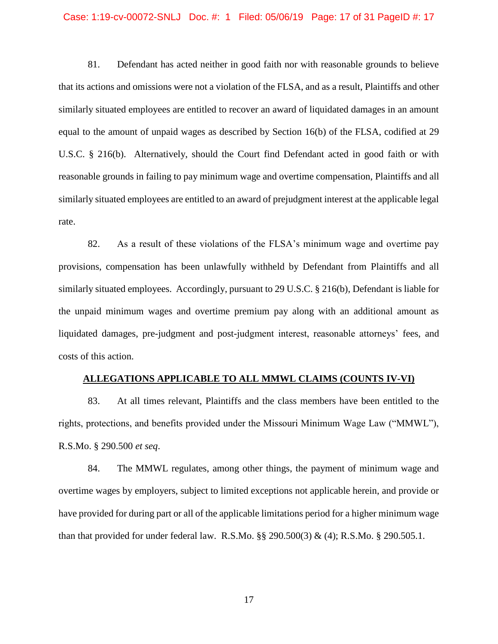### Case: 1:19-cv-00072-SNLJ Doc. #: 1 Filed: 05/06/19 Page: 17 of 31 PageID #: 17

81. Defendant has acted neither in good faith nor with reasonable grounds to believe that its actions and omissions were not a violation of the FLSA, and as a result, Plaintiffs and other similarly situated employees are entitled to recover an award of liquidated damages in an amount equal to the amount of unpaid wages as described by Section 16(b) of the FLSA, codified at 29 U.S.C. § 216(b). Alternatively, should the Court find Defendant acted in good faith or with reasonable grounds in failing to pay minimum wage and overtime compensation, Plaintiffs and all similarly situated employees are entitled to an award of prejudgment interest at the applicable legal rate.

82. As a result of these violations of the FLSA's minimum wage and overtime pay provisions, compensation has been unlawfully withheld by Defendant from Plaintiffs and all similarly situated employees. Accordingly, pursuant to 29 U.S.C. § 216(b), Defendant is liable for the unpaid minimum wages and overtime premium pay along with an additional amount as liquidated damages, pre-judgment and post-judgment interest, reasonable attorneys' fees, and costs of this action.

### **ALLEGATIONS APPLICABLE TO ALL MMWL CLAIMS (COUNTS IV-VI)**

83. At all times relevant, Plaintiffs and the class members have been entitled to the rights, protections, and benefits provided under the Missouri Minimum Wage Law ("MMWL"), R.S.Mo. § 290.500 *et seq*.

84. The MMWL regulates, among other things, the payment of minimum wage and overtime wages by employers, subject to limited exceptions not applicable herein, and provide or have provided for during part or all of the applicable limitations period for a higher minimum wage than that provided for under federal law. R.S.Mo. §§ 290.500(3) & (4); R.S.Mo. § 290.505.1.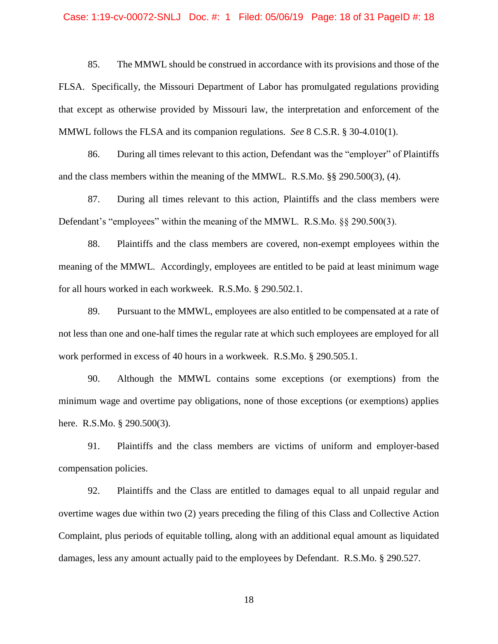### Case: 1:19-cv-00072-SNLJ Doc. #: 1 Filed: 05/06/19 Page: 18 of 31 PageID #: 18

85. The MMWL should be construed in accordance with its provisions and those of the FLSA. Specifically, the Missouri Department of Labor has promulgated regulations providing that except as otherwise provided by Missouri law, the interpretation and enforcement of the MMWL follows the FLSA and its companion regulations. *See* 8 C.S.R. § 30-4.010(1).

86. During all times relevant to this action, Defendant was the "employer" of Plaintiffs and the class members within the meaning of the MMWL. R.S.Mo. §§ 290.500(3), (4).

87. During all times relevant to this action, Plaintiffs and the class members were Defendant's "employees" within the meaning of the MMWL. R.S.Mo. §§ 290.500(3).

88. Plaintiffs and the class members are covered, non-exempt employees within the meaning of the MMWL. Accordingly, employees are entitled to be paid at least minimum wage for all hours worked in each workweek. R.S.Mo. § 290.502.1.

89. Pursuant to the MMWL, employees are also entitled to be compensated at a rate of not less than one and one-half times the regular rate at which such employees are employed for all work performed in excess of 40 hours in a workweek. R.S.Mo. § 290.505.1.

90. Although the MMWL contains some exceptions (or exemptions) from the minimum wage and overtime pay obligations, none of those exceptions (or exemptions) applies here. R.S.Mo. § 290.500(3).

91. Plaintiffs and the class members are victims of uniform and employer-based compensation policies.

92. Plaintiffs and the Class are entitled to damages equal to all unpaid regular and overtime wages due within two (2) years preceding the filing of this Class and Collective Action Complaint, plus periods of equitable tolling, along with an additional equal amount as liquidated damages, less any amount actually paid to the employees by Defendant. R.S.Mo. § 290.527.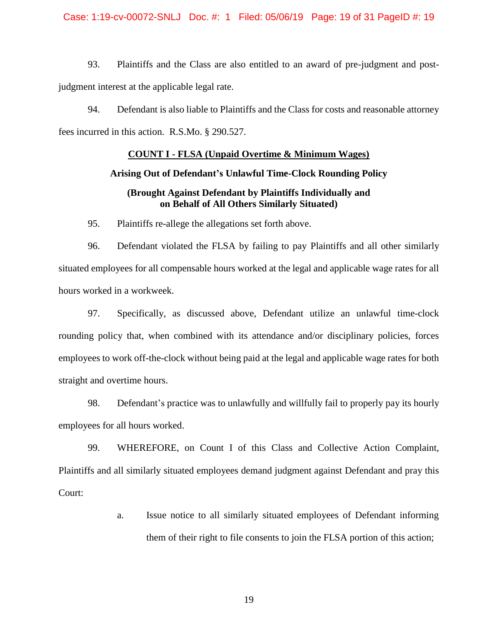Case: 1:19-cv-00072-SNLJ Doc. #: 1 Filed: 05/06/19 Page: 19 of 31 PageID #: 19

93. Plaintiffs and the Class are also entitled to an award of pre-judgment and postjudgment interest at the applicable legal rate.

94. Defendant is also liable to Plaintiffs and the Class for costs and reasonable attorney fees incurred in this action. R.S.Mo. § 290.527.

### **COUNT I - FLSA (Unpaid Overtime & Minimum Wages)**

## **Arising Out of Defendant's Unlawful Time-Clock Rounding Policy**

# **(Brought Against Defendant by Plaintiffs Individually and on Behalf of All Others Similarly Situated)**

95. Plaintiffs re-allege the allegations set forth above.

96. Defendant violated the FLSA by failing to pay Plaintiffs and all other similarly situated employees for all compensable hours worked at the legal and applicable wage rates for all hours worked in a workweek.

97. Specifically, as discussed above, Defendant utilize an unlawful time-clock rounding policy that, when combined with its attendance and/or disciplinary policies, forces employees to work off-the-clock without being paid at the legal and applicable wage rates for both straight and overtime hours.

98. Defendant's practice was to unlawfully and willfully fail to properly pay its hourly employees for all hours worked.

99. WHEREFORE, on Count I of this Class and Collective Action Complaint, Plaintiffs and all similarly situated employees demand judgment against Defendant and pray this Court:

> a. Issue notice to all similarly situated employees of Defendant informing them of their right to file consents to join the FLSA portion of this action;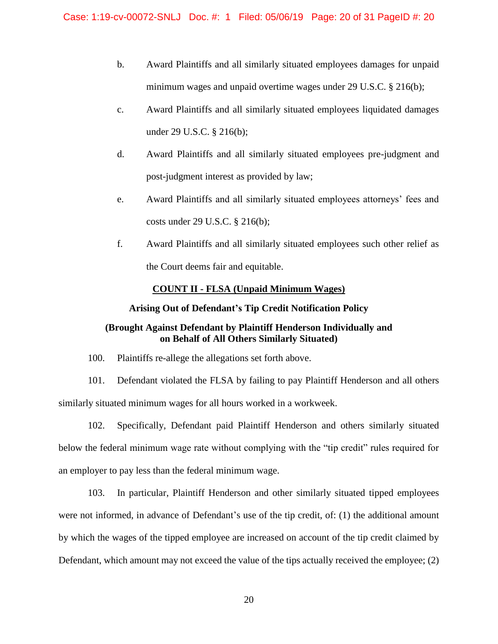- b. Award Plaintiffs and all similarly situated employees damages for unpaid minimum wages and unpaid overtime wages under 29 U.S.C. § 216(b);
- c. Award Plaintiffs and all similarly situated employees liquidated damages under 29 U.S.C. § 216(b);
- d. Award Plaintiffs and all similarly situated employees pre-judgment and post-judgment interest as provided by law;
- e. Award Plaintiffs and all similarly situated employees attorneys' fees and costs under 29 U.S.C. § 216(b);
- f. Award Plaintiffs and all similarly situated employees such other relief as the Court deems fair and equitable.

# **COUNT II - FLSA (Unpaid Minimum Wages)**

## **Arising Out of Defendant's Tip Credit Notification Policy**

# **(Brought Against Defendant by Plaintiff Henderson Individually and on Behalf of All Others Similarly Situated)**

100. Plaintiffs re-allege the allegations set forth above.

101. Defendant violated the FLSA by failing to pay Plaintiff Henderson and all others similarly situated minimum wages for all hours worked in a workweek.

102. Specifically, Defendant paid Plaintiff Henderson and others similarly situated below the federal minimum wage rate without complying with the "tip credit" rules required for an employer to pay less than the federal minimum wage.

103. In particular, Plaintiff Henderson and other similarly situated tipped employees were not informed, in advance of Defendant's use of the tip credit, of: (1) the additional amount by which the wages of the tipped employee are increased on account of the tip credit claimed by Defendant, which amount may not exceed the value of the tips actually received the employee; (2)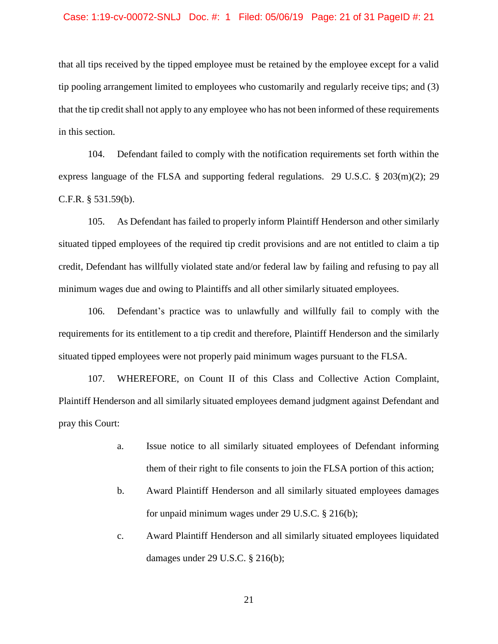#### Case: 1:19-cv-00072-SNLJ Doc. #: 1 Filed: 05/06/19 Page: 21 of 31 PageID #: 21

that all tips received by the tipped employee must be retained by the employee except for a valid tip pooling arrangement limited to employees who customarily and regularly receive tips; and (3) that the tip credit shall not apply to any employee who has not been informed of these requirements in this section.

104. Defendant failed to comply with the notification requirements set forth within the express language of the FLSA and supporting federal regulations. 29 U.S.C.  $\S$  203(m)(2); 29 C.F.R. § 531.59(b).

105. As Defendant has failed to properly inform Plaintiff Henderson and other similarly situated tipped employees of the required tip credit provisions and are not entitled to claim a tip credit, Defendant has willfully violated state and/or federal law by failing and refusing to pay all minimum wages due and owing to Plaintiffs and all other similarly situated employees.

106. Defendant's practice was to unlawfully and willfully fail to comply with the requirements for its entitlement to a tip credit and therefore, Plaintiff Henderson and the similarly situated tipped employees were not properly paid minimum wages pursuant to the FLSA.

107. WHEREFORE, on Count II of this Class and Collective Action Complaint, Plaintiff Henderson and all similarly situated employees demand judgment against Defendant and pray this Court:

- a. Issue notice to all similarly situated employees of Defendant informing them of their right to file consents to join the FLSA portion of this action;
- b. Award Plaintiff Henderson and all similarly situated employees damages for unpaid minimum wages under 29 U.S.C. § 216(b);
- c. Award Plaintiff Henderson and all similarly situated employees liquidated damages under 29 U.S.C. § 216(b);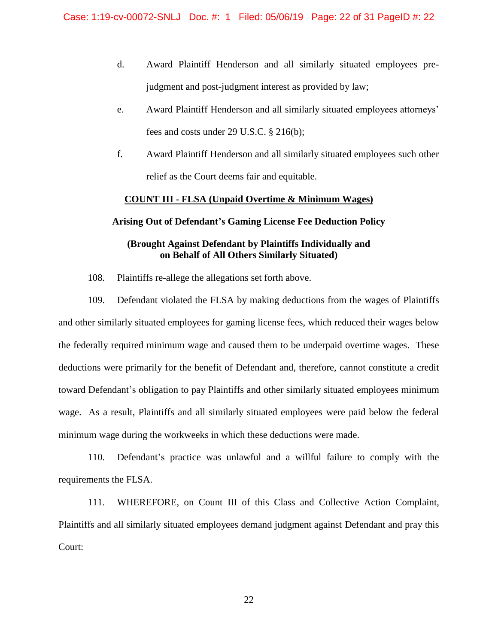- d. Award Plaintiff Henderson and all similarly situated employees prejudgment and post-judgment interest as provided by law;
- e. Award Plaintiff Henderson and all similarly situated employees attorneys' fees and costs under 29 U.S.C. § 216(b);
- f. Award Plaintiff Henderson and all similarly situated employees such other relief as the Court deems fair and equitable.

## **COUNT III - FLSA (Unpaid Overtime & Minimum Wages)**

## **Arising Out of Defendant's Gaming License Fee Deduction Policy**

# **(Brought Against Defendant by Plaintiffs Individually and on Behalf of All Others Similarly Situated)**

108. Plaintiffs re-allege the allegations set forth above.

109. Defendant violated the FLSA by making deductions from the wages of Plaintiffs and other similarly situated employees for gaming license fees, which reduced their wages below the federally required minimum wage and caused them to be underpaid overtime wages. These deductions were primarily for the benefit of Defendant and, therefore, cannot constitute a credit toward Defendant's obligation to pay Plaintiffs and other similarly situated employees minimum wage. As a result, Plaintiffs and all similarly situated employees were paid below the federal minimum wage during the workweeks in which these deductions were made.

110. Defendant's practice was unlawful and a willful failure to comply with the requirements the FLSA.

111. WHEREFORE, on Count III of this Class and Collective Action Complaint, Plaintiffs and all similarly situated employees demand judgment against Defendant and pray this Court: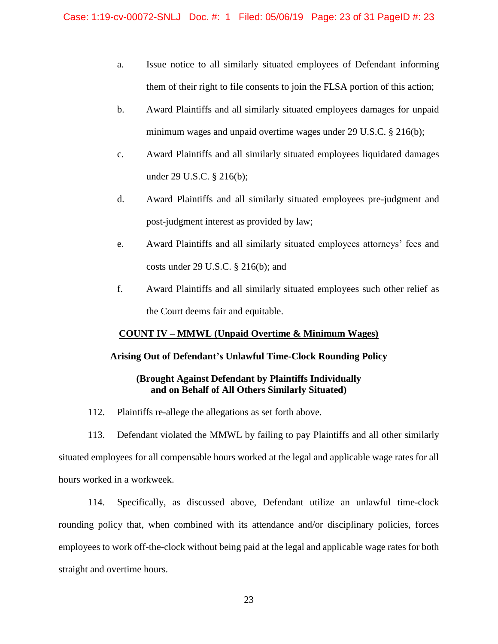- a. Issue notice to all similarly situated employees of Defendant informing them of their right to file consents to join the FLSA portion of this action;
- b. Award Plaintiffs and all similarly situated employees damages for unpaid minimum wages and unpaid overtime wages under 29 U.S.C. § 216(b);
- c. Award Plaintiffs and all similarly situated employees liquidated damages under 29 U.S.C. § 216(b);
- d. Award Plaintiffs and all similarly situated employees pre-judgment and post-judgment interest as provided by law;
- e. Award Plaintiffs and all similarly situated employees attorneys' fees and costs under 29 U.S.C. § 216(b); and
- f. Award Plaintiffs and all similarly situated employees such other relief as the Court deems fair and equitable.

# **COUNT IV – MMWL (Unpaid Overtime & Minimum Wages)**

# **Arising Out of Defendant's Unlawful Time-Clock Rounding Policy**

# **(Brought Against Defendant by Plaintiffs Individually and on Behalf of All Others Similarly Situated)**

112. Plaintiffs re-allege the allegations as set forth above.

113. Defendant violated the MMWL by failing to pay Plaintiffs and all other similarly situated employees for all compensable hours worked at the legal and applicable wage rates for all hours worked in a workweek.

114. Specifically, as discussed above, Defendant utilize an unlawful time-clock rounding policy that, when combined with its attendance and/or disciplinary policies, forces employees to work off-the-clock without being paid at the legal and applicable wage rates for both straight and overtime hours.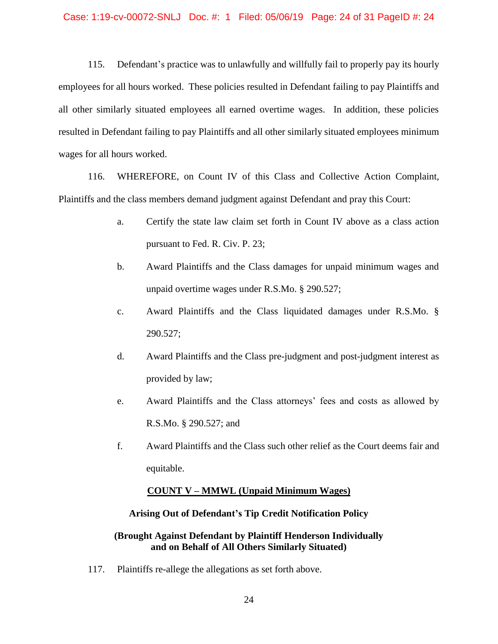115. Defendant's practice was to unlawfully and willfully fail to properly pay its hourly employees for all hours worked. These policies resulted in Defendant failing to pay Plaintiffs and all other similarly situated employees all earned overtime wages. In addition, these policies resulted in Defendant failing to pay Plaintiffs and all other similarly situated employees minimum wages for all hours worked.

116. WHEREFORE, on Count IV of this Class and Collective Action Complaint, Plaintiffs and the class members demand judgment against Defendant and pray this Court:

- a. Certify the state law claim set forth in Count IV above as a class action pursuant to Fed. R. Civ. P. 23;
- b. Award Plaintiffs and the Class damages for unpaid minimum wages and unpaid overtime wages under R.S.Mo. § 290.527;
- c. Award Plaintiffs and the Class liquidated damages under R.S.Mo. § 290.527;
- d. Award Plaintiffs and the Class pre-judgment and post-judgment interest as provided by law;
- e. Award Plaintiffs and the Class attorneys' fees and costs as allowed by R.S.Mo. § 290.527; and
- f. Award Plaintiffs and the Class such other relief as the Court deems fair and equitable.

# **COUNT V – MMWL (Unpaid Minimum Wages)**

# **Arising Out of Defendant's Tip Credit Notification Policy**

# **(Brought Against Defendant by Plaintiff Henderson Individually and on Behalf of All Others Similarly Situated)**

117. Plaintiffs re-allege the allegations as set forth above.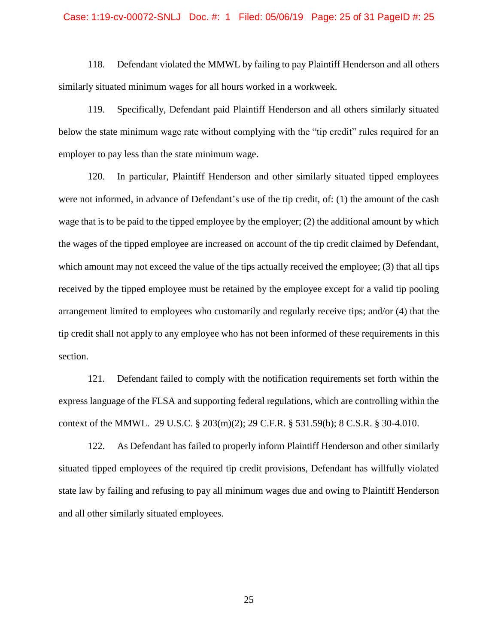#### Case: 1:19-cv-00072-SNLJ Doc. #: 1 Filed: 05/06/19 Page: 25 of 31 PageID #: 25

118. Defendant violated the MMWL by failing to pay Plaintiff Henderson and all others similarly situated minimum wages for all hours worked in a workweek.

119. Specifically, Defendant paid Plaintiff Henderson and all others similarly situated below the state minimum wage rate without complying with the "tip credit" rules required for an employer to pay less than the state minimum wage.

120. In particular, Plaintiff Henderson and other similarly situated tipped employees were not informed, in advance of Defendant's use of the tip credit, of: (1) the amount of the cash wage that is to be paid to the tipped employee by the employer; (2) the additional amount by which the wages of the tipped employee are increased on account of the tip credit claimed by Defendant, which amount may not exceed the value of the tips actually received the employee; (3) that all tips received by the tipped employee must be retained by the employee except for a valid tip pooling arrangement limited to employees who customarily and regularly receive tips; and/or (4) that the tip credit shall not apply to any employee who has not been informed of these requirements in this section.

121. Defendant failed to comply with the notification requirements set forth within the express language of the FLSA and supporting federal regulations, which are controlling within the context of the MMWL. 29 U.S.C. § 203(m)(2); 29 C.F.R. § 531.59(b); 8 C.S.R. § 30-4.010.

122. As Defendant has failed to properly inform Plaintiff Henderson and other similarly situated tipped employees of the required tip credit provisions, Defendant has willfully violated state law by failing and refusing to pay all minimum wages due and owing to Plaintiff Henderson and all other similarly situated employees.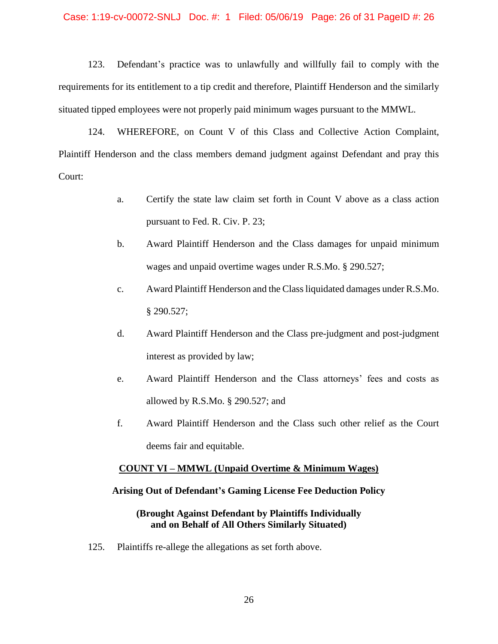### Case: 1:19-cv-00072-SNLJ Doc. #: 1 Filed: 05/06/19 Page: 26 of 31 PageID #: 26

123. Defendant's practice was to unlawfully and willfully fail to comply with the requirements for its entitlement to a tip credit and therefore, Plaintiff Henderson and the similarly situated tipped employees were not properly paid minimum wages pursuant to the MMWL.

124. WHEREFORE, on Count V of this Class and Collective Action Complaint, Plaintiff Henderson and the class members demand judgment against Defendant and pray this Court:

- a. Certify the state law claim set forth in Count V above as a class action pursuant to Fed. R. Civ. P. 23;
- b. Award Plaintiff Henderson and the Class damages for unpaid minimum wages and unpaid overtime wages under R.S.Mo. § 290.527;
- c. Award Plaintiff Henderson and the Class liquidated damages under R.S.Mo. § 290.527;
- d. Award Plaintiff Henderson and the Class pre-judgment and post-judgment interest as provided by law;
- e. Award Plaintiff Henderson and the Class attorneys' fees and costs as allowed by R.S.Mo. § 290.527; and
- f. Award Plaintiff Henderson and the Class such other relief as the Court deems fair and equitable.

## **COUNT VI – MMWL (Unpaid Overtime & Minimum Wages)**

## **Arising Out of Defendant's Gaming License Fee Deduction Policy**

## **(Brought Against Defendant by Plaintiffs Individually and on Behalf of All Others Similarly Situated)**

125. Plaintiffs re-allege the allegations as set forth above.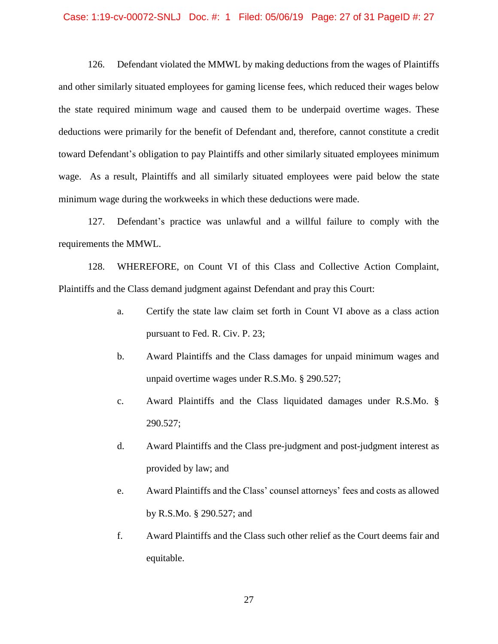### Case: 1:19-cv-00072-SNLJ Doc. #: 1 Filed: 05/06/19 Page: 27 of 31 PageID #: 27

126. Defendant violated the MMWL by making deductions from the wages of Plaintiffs and other similarly situated employees for gaming license fees, which reduced their wages below the state required minimum wage and caused them to be underpaid overtime wages. These deductions were primarily for the benefit of Defendant and, therefore, cannot constitute a credit toward Defendant's obligation to pay Plaintiffs and other similarly situated employees minimum wage. As a result, Plaintiffs and all similarly situated employees were paid below the state minimum wage during the workweeks in which these deductions were made.

127. Defendant's practice was unlawful and a willful failure to comply with the requirements the MMWL.

128. WHEREFORE, on Count VI of this Class and Collective Action Complaint, Plaintiffs and the Class demand judgment against Defendant and pray this Court:

- a. Certify the state law claim set forth in Count VI above as a class action pursuant to Fed. R. Civ. P. 23;
- b. Award Plaintiffs and the Class damages for unpaid minimum wages and unpaid overtime wages under R.S.Mo. § 290.527;
- c. Award Plaintiffs and the Class liquidated damages under R.S.Mo. § 290.527;
- d. Award Plaintiffs and the Class pre-judgment and post-judgment interest as provided by law; and
- e. Award Plaintiffs and the Class' counsel attorneys' fees and costs as allowed by R.S.Mo. § 290.527; and
- f. Award Plaintiffs and the Class such other relief as the Court deems fair and equitable.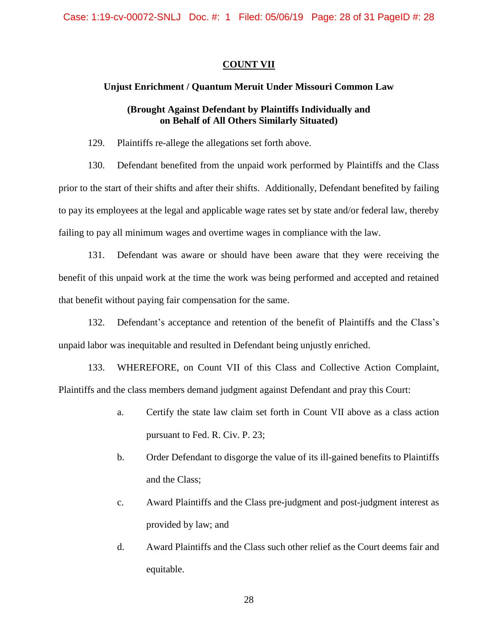## **COUNT VII**

## **Unjust Enrichment / Quantum Meruit Under Missouri Common Law**

# **(Brought Against Defendant by Plaintiffs Individually and on Behalf of All Others Similarly Situated)**

129. Plaintiffs re-allege the allegations set forth above.

130. Defendant benefited from the unpaid work performed by Plaintiffs and the Class prior to the start of their shifts and after their shifts. Additionally, Defendant benefited by failing to pay its employees at the legal and applicable wage rates set by state and/or federal law, thereby failing to pay all minimum wages and overtime wages in compliance with the law.

131. Defendant was aware or should have been aware that they were receiving the benefit of this unpaid work at the time the work was being performed and accepted and retained that benefit without paying fair compensation for the same.

132. Defendant's acceptance and retention of the benefit of Plaintiffs and the Class's unpaid labor was inequitable and resulted in Defendant being unjustly enriched.

133. WHEREFORE, on Count VII of this Class and Collective Action Complaint, Plaintiffs and the class members demand judgment against Defendant and pray this Court:

- a. Certify the state law claim set forth in Count VII above as a class action pursuant to Fed. R. Civ. P. 23;
- b. Order Defendant to disgorge the value of its ill-gained benefits to Plaintiffs and the Class;
- c. Award Plaintiffs and the Class pre-judgment and post-judgment interest as provided by law; and
- d. Award Plaintiffs and the Class such other relief as the Court deems fair and equitable.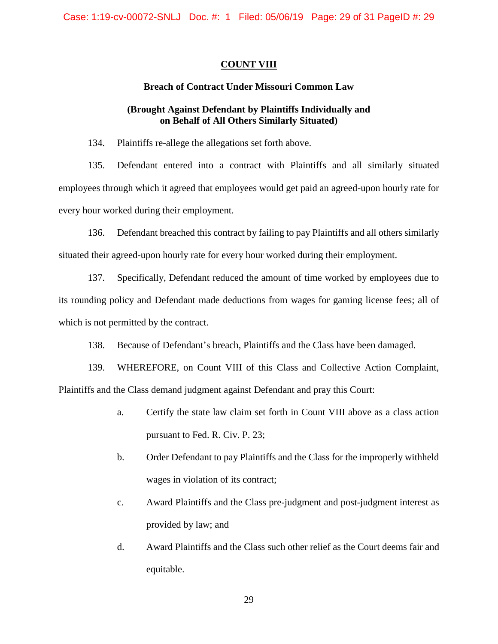## **COUNT VIII**

# **Breach of Contract Under Missouri Common Law**

# **(Brought Against Defendant by Plaintiffs Individually and on Behalf of All Others Similarly Situated)**

134. Plaintiffs re-allege the allegations set forth above.

135. Defendant entered into a contract with Plaintiffs and all similarly situated employees through which it agreed that employees would get paid an agreed-upon hourly rate for every hour worked during their employment.

136. Defendant breached this contract by failing to pay Plaintiffs and all others similarly situated their agreed-upon hourly rate for every hour worked during their employment.

137. Specifically, Defendant reduced the amount of time worked by employees due to its rounding policy and Defendant made deductions from wages for gaming license fees; all of which is not permitted by the contract.

138. Because of Defendant's breach, Plaintiffs and the Class have been damaged.

139. WHEREFORE, on Count VIII of this Class and Collective Action Complaint, Plaintiffs and the Class demand judgment against Defendant and pray this Court:

- a. Certify the state law claim set forth in Count VIII above as a class action pursuant to Fed. R. Civ. P. 23;
- b. Order Defendant to pay Plaintiffs and the Class for the improperly withheld wages in violation of its contract;
- c. Award Plaintiffs and the Class pre-judgment and post-judgment interest as provided by law; and
- d. Award Plaintiffs and the Class such other relief as the Court deems fair and equitable.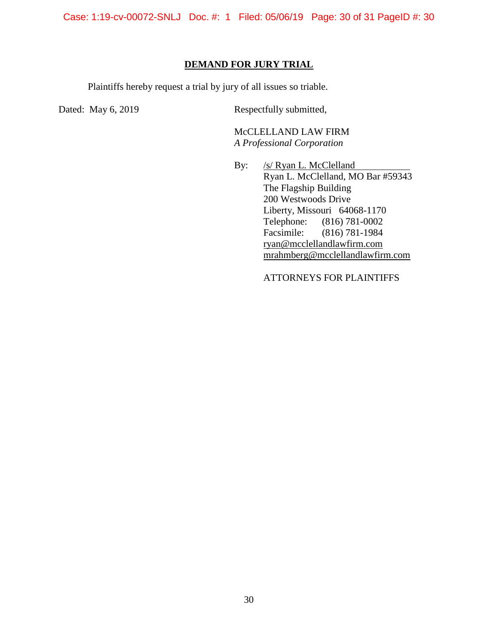Case: 1:19-cv-00072-SNLJ Doc. #: 1 Filed: 05/06/19 Page: 30 of 31 PageID #: 30

## **DEMAND FOR JURY TRIAL**

Plaintiffs hereby request a trial by jury of all issues so triable.

Dated: May 6, 2019 Respectfully submitted,

McCLELLAND LAW FIRM *A Professional Corporation*

By: /s/ Ryan L. McClelland Ryan L. McClelland, MO Bar #59343 The Flagship Building 200 Westwoods Drive Liberty, Missouri 64068-1170 Telephone: (816) 781-0002 Facsimile: (816) 781-1984 ryan@mcclellandlawfirm.com mrahmberg@mcclellandlawfirm.com

ATTORNEYS FOR PLAINTIFFS